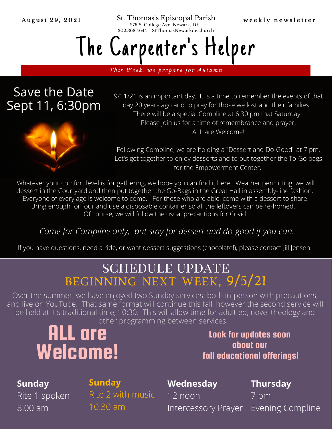August 29, 2021 St. Thomas's Episcopal Parish weekly newsletter 276 S. College Ave Newark, DE 302.368.4644 StThomasNewarkde.church

# The Carpenter 's Helper

This Week, we prepare for Autumn

# Save the Date Sept 11, 6:30pm

9/11/21 is an important day. It is a time to remember the events of that day 20 years ago and to pray for those we lost and their families. There will be a special Compline at 6:30 pm that Saturday. Please join us for a time of remembrance and prayer. ALL are Welcome!



Following Compline, we are holding a "Dessert and Do-Good" at 7 pm. Let's get together to enjoy desserts and to put together the To-Go bags for the Empowerment Center.

Whatever your comfort level is for gathering, we hope you can find it here. Weather permitting, we will dessert in the Courtyard and then put together the Go-Bags in the Great Hall in assembly-line fashion. Everyone of every age is welcome to come. For those who are able, come with a dessert to share. Bring enough for four and use a disposable container so all the leftovers can be re-homed. Of course, we will follow the usual precautions for Covid.

### *Come for Compline only, but stay for dessert and do-good if you can.*

If you have questions, need a ride, or want dessert suggestions (chocolate!), please contact Jill Jensen.

# schedule update beginning next week, 9/5/21

Over the summer, we have enjoyed two Sunday services: both in-person with precautions, and live on YouTube. That same format will continue this fall, however the second service will be held at it's traditional time, 10:30. This will allow time for adult ed, novel theology and other programming between services.

# ALL are Welcome!

Look for updates soon about our fall educational offerings!

#### **Sunday**

8:00 am

Rite 1 spoken

## **Sunday**

Rite 2 with music 10:30 am

### **Wednesday**

12 noon

**Thursday**

Intercessory Prayer Evening Compline 7 pm